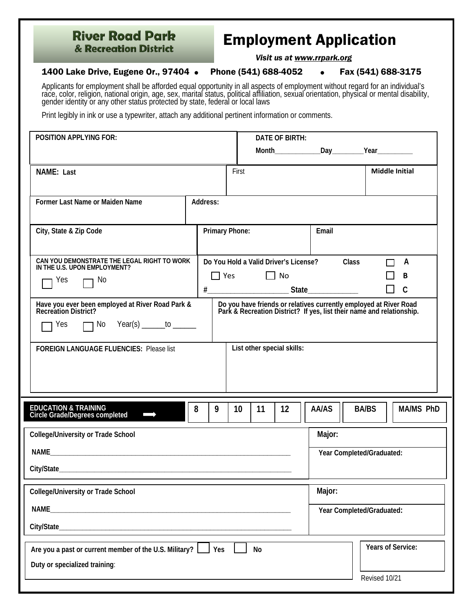## **River Road Park** & Recreation District

## Employment Application

*Visit us at www.rrpark.org*

## 1400 Lake Drive, Eugene Or., 97404 • Phone (541) 688-4052 • Fax (541) 688-3175

Applicants for employment shall be afforded equal opportunity in all aspects of employment without regard for an individual's race, color, religion, national origin, age, sex, marital status, political affiliation, sexual

Print legibly in ink or use a typewriter, attach any additional pertinent information or comments.

| <b>POSITION APPLYING FOR:</b>                                                                                                                                                                                                                                      |          |                                                     | DATE OF BIRTH: |        |                           |                                   |  |  |
|--------------------------------------------------------------------------------------------------------------------------------------------------------------------------------------------------------------------------------------------------------------------|----------|-----------------------------------------------------|----------------|--------|---------------------------|-----------------------------------|--|--|
|                                                                                                                                                                                                                                                                    |          |                                                     |                |        |                           |                                   |  |  |
| NAME: Last                                                                                                                                                                                                                                                         | First    |                                                     |                |        | <b>Middle Initial</b>     |                                   |  |  |
| Former Last Name or Maiden Name                                                                                                                                                                                                                                    | Address: |                                                     |                |        |                           |                                   |  |  |
| City, State & Zip Code                                                                                                                                                                                                                                             |          | Primary Phone:                                      |                |        |                           |                                   |  |  |
| CAN YOU DEMONSTRATE THE LEGAL RIGHT TO WORK<br>IN THE U.S. UPON EMPLOYMENT?<br>7 No<br>Yes                                                                                                                                                                         |          | Do You Hold a Valid Driver's License?<br>$\Box$ Yes | $\Box$ No      |        | Class                     | A<br>B<br>$\Box$<br>$\mathcal{C}$ |  |  |
| Have you ever been employed at River Road Park &<br>Recreation District?<br>Do you have friends or relatives currently employed at River Road<br>Park & Recreation District? If yes, list their name and relationship.<br>$\Box$ No Year(s) ______to ______<br>Yes |          |                                                     |                |        |                           |                                   |  |  |
| <b>FOREIGN LANGUAGE FLUENCIES: Please list</b>                                                                                                                                                                                                                     |          | List other special skills:                          |                |        |                           |                                   |  |  |
| <b>EDUCATION &amp; TRAINING</b><br><b>Circle Grade/Degrees completed</b>                                                                                                                                                                                           | 8<br>9   | 10<br>11                                            | 12             | AA/AS  | <b>BA/BS</b>              | <b>MA/MS PhD</b>                  |  |  |
| <b>College/University or Trade School</b>                                                                                                                                                                                                                          |          |                                                     |                | Major: |                           |                                   |  |  |
|                                                                                                                                                                                                                                                                    |          |                                                     |                |        | Year Completed/Graduated: |                                   |  |  |
| College/University or Trade School                                                                                                                                                                                                                                 |          |                                                     | Major:         |        |                           |                                   |  |  |
| NAME_<br><u> 1989 - Johann John Stone, markin film yn y brening yn y brening yn y brening yn y brening y brening yn y bre</u>                                                                                                                                      |          |                                                     |                |        | Year Completed/Graduated: |                                   |  |  |
|                                                                                                                                                                                                                                                                    |          |                                                     |                |        |                           |                                   |  |  |
| Are you a past or current member of the U.S. Military?<br>Yes<br>No<br>Duty or specialized training:                                                                                                                                                               |          |                                                     |                |        | Years of Service:         |                                   |  |  |
|                                                                                                                                                                                                                                                                    |          |                                                     |                |        | Revised 10/21             |                                   |  |  |